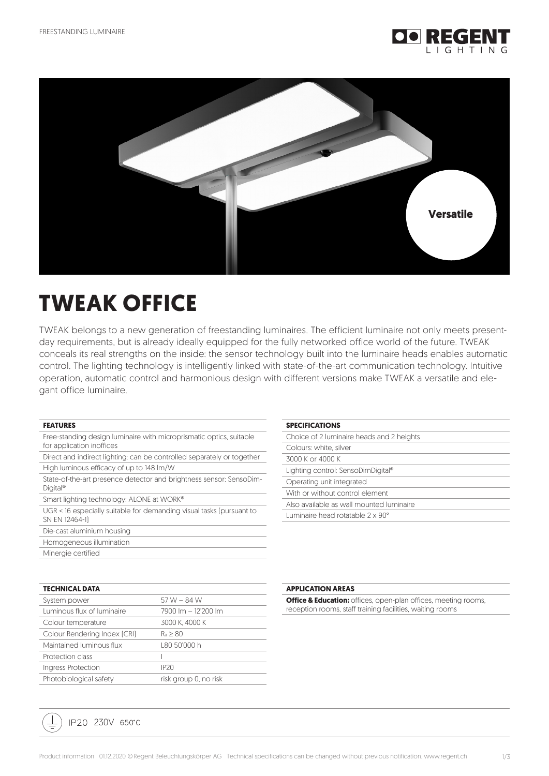



# **TWEAK OFFICE**

TWEAK belongs to a new generation of freestanding luminaires. The efficient luminaire not only meets presentday requirements, but is already ideally equipped for the fully networked office world of the future. TWEAK conceals its real strengths on the inside: the sensor technology built into the luminaire heads enables automatic control. The lighting technology is intelligently linked with state-of-the-art communication technology. Intuitive operation, automatic control and harmonious design with different versions make TWEAK a versatile and elegant office luminaire.

#### **FEATURES**

| Free-standing design luminaire with microprismatic optics, suitable |  |
|---------------------------------------------------------------------|--|
| for application inoffices                                           |  |

| Direct and indirect lighting: can be controlled separately or together |  |
|------------------------------------------------------------------------|--|
| High luminous efficacy of up to 148 lm/W                               |  |

| State-of-the-art presence detector and brightness sensor: SensoDim- |  |
|---------------------------------------------------------------------|--|
| Digital <sup>®</sup>                                                |  |

Smart lighting technology: ALONE at WORK®

UGR < 16 especially suitable for demanding visual tasks (pursuant to SN EN 12464-1)

Die-cast aluminium housing

Homogeneous illumination

Minergie certified

| <b>TECHNICAL DATA</b>        |                       |
|------------------------------|-----------------------|
| System power                 | 57 W $-$ 84 W         |
| Luminous flux of luminaire   | 7900 lm - 12'200 lm   |
| Colour temperature           | 3000 K. 4000 K        |
| Colour Rendering Index [CRI] | $R_a \geq 80$         |
| Maintained luminous flux     | L80 50'000 h          |
| Protection class             |                       |
| Ingress Protection           | IP <sub>20</sub>      |
| Photobiological safety       | risk group 0, no risk |

## IP20 230V 650°C

| Choice of 2 luminaire heads and 2 heights |
|-------------------------------------------|
| Colours: white, silver                    |
| 3000 K or 4000 K                          |
| Lighting control: SensoDimDigital®        |
| Operating unit integrated                 |
| With or without control element           |

Also available as wall mounted luminaire

Luminaire head rotatable 2 x 90°

#### **APPLICATION AREAS**

**SPECIFICATIONS**

**Office & Education:** offices, open-plan offices, meeting rooms, reception rooms, staff training facilities, waiting rooms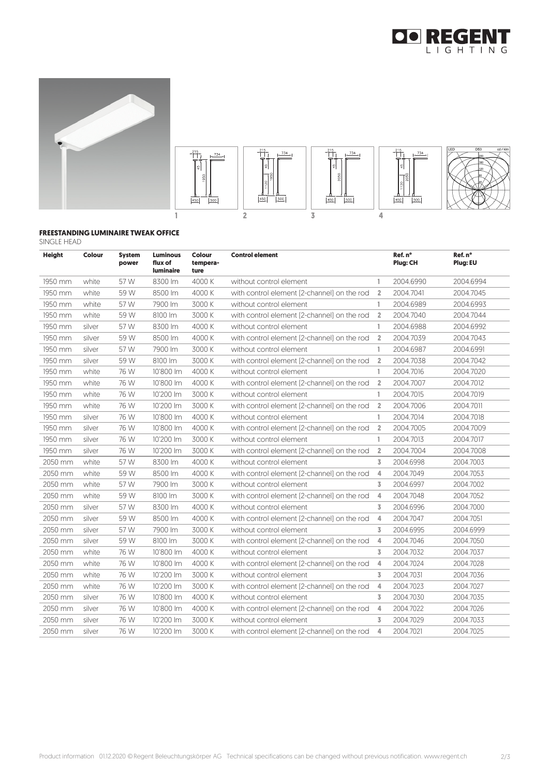





#### **FREESTANDING LUMINAIRE TWEAK OFFICE** SINGLE HEAD

| <b>Height</b> | <b>Colour</b> | <b>System</b><br>power | <b>Luminous</b><br>flux of<br><b>luminaire</b> | Colour<br>tempera-<br>ture | <b>Control element</b>                      |                | Ref. n°<br>Plug: CH | Ref. n°<br>Plug: EU |
|---------------|---------------|------------------------|------------------------------------------------|----------------------------|---------------------------------------------|----------------|---------------------|---------------------|
| 1950 mm       | white         | 57 W                   | 8300 lm                                        | 4000 K                     | without control element                     | 1              | 2004.6990           | 2004.6994           |
| 1950 mm       | white         | 59 W                   | 8500 lm                                        | 4000 K                     | with control element [2-channel] on the rod | $\overline{2}$ | 2004.7041           | 2004.7045           |
| 1950 mm       | white         | 57 W                   | 7900 lm                                        | 3000 K                     | without control element                     | 1              | 2004.6989           | 2004.6993           |
| 1950 mm       | white         | 59 W                   | 8100 lm                                        | 3000 K                     | with control element [2-channel] on the rod | $\overline{2}$ | 2004.7040           | 2004.7044           |
| 1950 mm       | silver        | 57 W                   | 8300 lm                                        | 4000 K                     | without control element                     | 1              | 2004.6988           | 2004.6992           |
| 1950 mm       | silver        | 59 W                   | 8500 lm                                        | 4000 K                     | with control element [2-channel] on the rod | $\overline{2}$ | 2004.7039           | 2004.7043           |
| 1950 mm       | silver        | 57 W                   | 7900 lm                                        | 3000 K                     | without control element                     | 1              | 2004.6987           | 2004.6991           |
| 1950 mm       | silver        | 59 W                   | 8100 lm                                        | 3000 K                     | with control element [2-channel] on the rod | $\overline{2}$ | 2004.7038           | 2004.7042           |
| 1950 mm       | white         | 76 W                   | 10'800 lm                                      | 4000 K                     | without control element                     | 1              | 2004.7016           | 2004.7020           |
| 1950 mm       | white         | 76 W                   | 10'800 lm                                      | 4000 K                     | with control element [2-channel] on the rod | $\overline{2}$ | 2004.7007           | 2004.7012           |
| 1950 mm       | white         | 76 W                   | 10'200 lm                                      | 3000 K                     | without control element                     | 1              | 2004.7015           | 2004.7019           |
| 1950 mm       | white         | 76 W                   | 10'200 lm                                      | 3000 K                     | with control element [2-channel] on the rod | $\overline{2}$ | 2004.7006           | 2004.7011           |
| 1950 mm       | silver        | 76 W                   | 10'800 lm                                      | 4000 K                     | without control element                     | 1              | 2004.7014           | 2004.7018           |
| 1950 mm       | silver        | 76 W                   | 10'800 lm                                      | 4000 K                     | with control element [2-channel] on the rod | $\overline{2}$ | 2004.7005           | 2004.7009           |
| 1950 mm       | silver        | 76 W                   | 10'200 lm                                      | 3000 K                     | without control element                     | 1              | 2004.7013           | 2004.7017           |
| 1950 mm       | silver        | 76 W                   | 10'200 lm                                      | 3000 K                     | with control element [2-channel] on the rod | $\overline{2}$ | 2004.7004           | 2004.7008           |
| 2050 mm       | white         | 57 W                   | 8300 lm                                        | 4000 K                     | without control element                     | $\overline{3}$ | 2004.6998           | 2004.7003           |
| 2050 mm       | white         | 59 W                   | 8500 lm                                        | 4000 K                     | with control element [2-channel] on the rod | 4              | 2004.7049           | 2004.7053           |
| 2050 mm       | white         | 57 W                   | 7900 lm                                        | 3000 K                     | without control element                     | 3              | 2004.6997           | 2004.7002           |
| 2050 mm       | white         | 59 W                   | 8100 lm                                        | 3000 K                     | with control element [2-channel] on the rod | 4              | 2004.7048           | 2004.7052           |
| 2050 mm       | silver        | 57 W                   | 8300 lm                                        | 4000 K                     | without control element                     | $\overline{3}$ | 2004.6996           | 2004.7000           |
| 2050 mm       | silver        | 59 W                   | 8500 lm                                        | 4000 K                     | with control element [2-channel] on the rod | $\overline{4}$ | 2004.7047           | 2004.7051           |
| 2050 mm       | silver        | 57 W                   | 7900 lm                                        | 3000 K                     | without control element                     | 3              | 2004.6995           | 2004.6999           |
| 2050 mm       | silver        | 59 W                   | 8100 lm                                        | 3000 K                     | with control element [2-channel] on the rod | 4              | 2004.7046           | 2004.7050           |
| 2050 mm       | white         | 76 W                   | 10'800 lm                                      | 4000 K                     | without control element                     | 3              | 2004.7032           | 2004.7037           |
| 2050 mm       | white         | 76 W                   | 10'800 lm                                      | 4000 K                     | with control element [2-channel] on the rod | 4              | 2004.7024           | 2004.7028           |
| 2050 mm       | white         | 76 W                   | 10'200 lm                                      | 3000 K                     | without control element                     | $\overline{3}$ | 2004.7031           | 2004.7036           |
| 2050 mm       | white         | 76 W                   | 10'200 lm                                      | 3000 K                     | with control element [2-channel] on the rod | 4              | 2004.7023           | 2004.7027           |
| 2050 mm       | silver        | 76 W                   | 10'800 lm                                      | 4000 K                     | without control element                     | 3              | 2004.7030           | 2004.7035           |
| 2050 mm       | silver        | 76 W                   | 10'800 lm                                      | 4000 K                     | with control element [2-channel] on the rod | 4              | 2004.7022           | 2004.7026           |
| 2050 mm       | silver        | 76 W                   | 10'200 lm                                      | 3000 K                     | without control element                     | 3              | 2004.7029           | 2004.7033           |
| 2050 mm       | silver        | 76 W                   | 10'200 lm                                      | 3000 K                     | with control element [2-channel] on the rod | 4              | 2004.7021           | 2004.7025           |